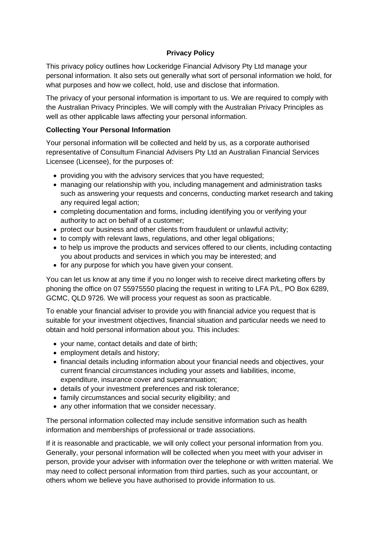### **Privacy Policy**

This privacy policy outlines how Lockeridge Financial Advisory Pty Ltd manage your personal information. It also sets out generally what sort of personal information we hold, for what purposes and how we collect, hold, use and disclose that information.

The privacy of your personal information is important to us. We are required to comply with the Australian Privacy Principles. We will comply with the Australian Privacy Principles as well as other applicable laws affecting your personal information.

### **Collecting Your Personal Information**

Your personal information will be collected and held by us, as a corporate authorised representative of Consultum Financial Advisers Pty Ltd an Australian Financial Services Licensee (Licensee), for the purposes of:

- providing you with the advisory services that you have requested;
- managing our relationship with you, including management and administration tasks such as answering your requests and concerns, conducting market research and taking any required legal action;
- completing documentation and forms, including identifying you or verifying your authority to act on behalf of a customer;
- protect our business and other clients from fraudulent or unlawful activity:
- to comply with relevant laws, regulations, and other legal obligations;
- to help us improve the products and services offered to our clients, including contacting you about products and services in which you may be interested; and
- for any purpose for which you have given your consent.

You can let us know at any time if you no longer wish to receive direct marketing offers by phoning the office on 07 55975550 placing the request in writing to LFA P/L, PO Box 6289, GCMC, QLD 9726. We will process your request as soon as practicable.

To enable your financial adviser to provide you with financial advice you request that is suitable for your investment objectives, financial situation and particular needs we need to obtain and hold personal information about you. This includes:

- your name, contact details and date of birth;
- employment details and history;
- financial details including information about your financial needs and objectives, your current financial circumstances including your assets and liabilities, income, expenditure, insurance cover and superannuation;
- details of your investment preferences and risk tolerance;
- family circumstances and social security eligibility; and
- any other information that we consider necessary.

The personal information collected may include sensitive information such as health information and memberships of professional or trade associations.

If it is reasonable and practicable, we will only collect your personal information from you. Generally, your personal information will be collected when you meet with your adviser in person, provide your adviser with information over the telephone or with written material. We may need to collect personal information from third parties, such as your accountant, or others whom we believe you have authorised to provide information to us.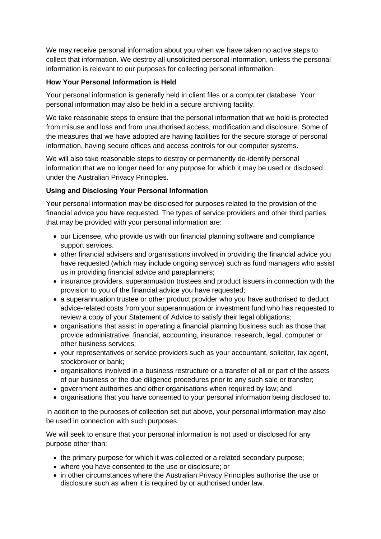We may receive personal information about you when we have taken no active steps to collect that information. We destroy all unsolicited personal information, unless the personal information is relevant to our purposes for collecting personal information.

#### **How Your Personal Information is Held**

Your personal information is generally held in client files or a computer database. Your personal information may also be held in a secure archiving facility.

We take reasonable steps to ensure that the personal information that we hold is protected from misuse and loss and from unauthorised access, modification and disclosure. Some of the measures that we have adopted are having facilities for the secure storage of personal information, having secure offices and access controls for our computer systems.

We will also take reasonable steps to destroy or permanently de-identify personal information that we no longer need for any purpose for which it may be used or disclosed under the Australian Privacy Principles.

### **Using and Disclosing Your Personal Information**

Your personal information may be disclosed for purposes related to the provision of the financial advice you have requested. The types of service providers and other third parties that may be provided with your personal information are:

- our Licensee, who provide us with our financial planning software and compliance support services.
- other financial advisers and organisations involved in providing the financial advice you have requested (which may include ongoing service) such as fund managers who assist us in providing financial advice and paraplanners;
- insurance providers, superannuation trustees and product issuers in connection with the provision to you of the financial advice you have requested;
- a superannuation trustee or other product provider who you have authorised to deduct advice-related costs from your superannuation or investment fund who has requested to review a copy of your Statement of Advice to satisfy their legal obligations;
- organisations that assist in operating a financial planning business such as those that provide administrative, financial, accounting, insurance, research, legal, computer or other business services;
- your representatives or service providers such as your accountant, solicitor, tax agent, stockbroker or bank;
- organisations involved in a business restructure or a transfer of all or part of the assets of our business or the due diligence procedures prior to any such sale or transfer;
- government authorities and other organisations when required by law; and
- organisations that you have consented to your personal information being disclosed to.

In addition to the purposes of collection set out above, your personal information may also be used in connection with such purposes.

We will seek to ensure that your personal information is not used or disclosed for any purpose other than:

- the primary purpose for which it was collected or a related secondary purpose;
- where you have consented to the use or disclosure; or
- in other circumstances where the Australian Privacy Principles authorise the use or disclosure such as when it is required by or authorised under law.